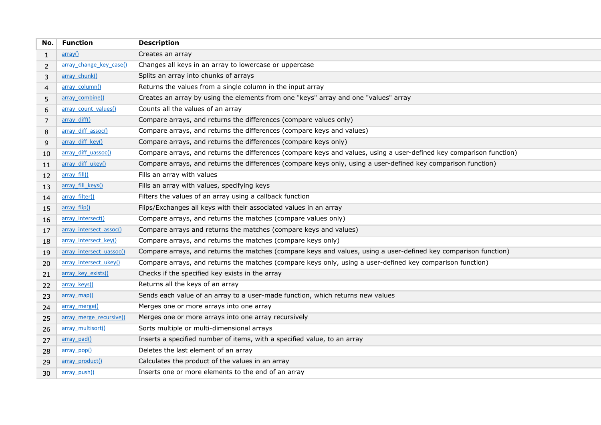| No.            | <b>Function</b>          | <b>Description</b>                                                                                                  |
|----------------|--------------------------|---------------------------------------------------------------------------------------------------------------------|
|                |                          |                                                                                                                     |
| $\mathbf{1}$   | array()                  | Creates an array                                                                                                    |
| 2              | array change key case()  | Changes all keys in an array to lowercase or uppercase                                                              |
| 3              | array chunk()            | Splits an array into chunks of arrays                                                                               |
| 4              | array column()           | Returns the values from a single column in the input array                                                          |
| 5              | array combine()          | Creates an array by using the elements from one "keys" array and one "values" array                                 |
| 6              | array count values()     | Counts all the values of an array                                                                                   |
| $\overline{7}$ | array diff()             | Compare arrays, and returns the differences (compare values only)                                                   |
| 8              | array diff assoc()       | Compare arrays, and returns the differences (compare keys and values)                                               |
| 9              | array diff key()         | Compare arrays, and returns the differences (compare keys only)                                                     |
| 10             | array diff uassoc()      | Compare arrays, and returns the differences (compare keys and values, using a user-defined key comparison function) |
| 11             | array diff ukey()        | Compare arrays, and returns the differences (compare keys only, using a user-defined key comparison function)       |
| 12             | array fill()             | Fills an array with values                                                                                          |
| 13             | array fill keys()        | Fills an array with values, specifying keys                                                                         |
| 14             | array filter()           | Filters the values of an array using a callback function                                                            |
| 15             | array flip()             | Flips/Exchanges all keys with their associated values in an array                                                   |
| 16             | array intersect()        | Compare arrays, and returns the matches (compare values only)                                                       |
| 17             | array intersect assoc()  | Compare arrays and returns the matches (compare keys and values)                                                    |
| 18             | array intersect key()    | Compare arrays, and returns the matches (compare keys only)                                                         |
| 19             | array intersect uassoc() | Compare arrays, and returns the matches (compare keys and values, using a user-defined key comparison function)     |
| 20             | array intersect ukey()   | Compare arrays, and returns the matches (compare keys only, using a user-defined key comparison function)           |
| 21             | array key exists()       | Checks if the specified key exists in the array                                                                     |
| 22             | array keys()             | Returns all the keys of an array                                                                                    |
| 23             | array map()              | Sends each value of an array to a user-made function, which returns new values                                      |
| 24             | array merge()            | Merges one or more arrays into one array                                                                            |
| 25             | array merge recursive()  | Merges one or more arrays into one array recursively                                                                |
| 26             | array multisort()        | Sorts multiple or multi-dimensional arrays                                                                          |
| 27             | array pad()              | Inserts a specified number of items, with a specified value, to an array                                            |
| 28             | array pop()              | Deletes the last element of an array                                                                                |
| 29             | array product()          | Calculates the product of the values in an array                                                                    |
| 30             | array push()             | Inserts one or more elements to the end of an array                                                                 |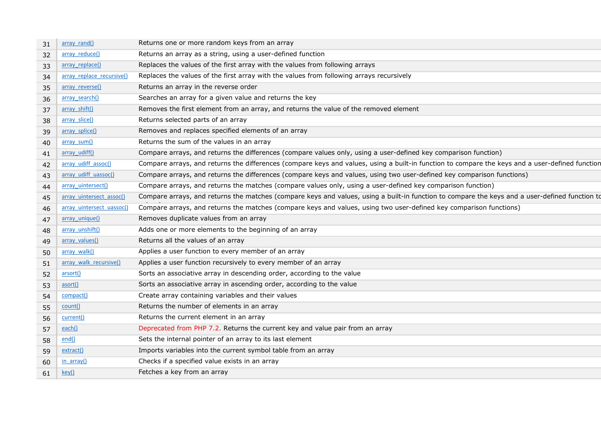| 31 | $array$ rand()            | Returns one or more random keys from an array                                                                                                   |
|----|---------------------------|-------------------------------------------------------------------------------------------------------------------------------------------------|
| 32 | array reduce()            | Returns an array as a string, using a user-defined function                                                                                     |
| 33 | array replace()           | Replaces the values of the first array with the values from following arrays                                                                    |
| 34 | array replace recursive() | Replaces the values of the first array with the values from following arrays recursively                                                        |
| 35 | array reverse()           | Returns an array in the reverse order                                                                                                           |
| 36 | array search()            | Searches an array for a given value and returns the key                                                                                         |
| 37 | array shift()             | Removes the first element from an array, and returns the value of the removed element                                                           |
| 38 | array slice()             | Returns selected parts of an array                                                                                                              |
| 39 | array splice()            | Removes and replaces specified elements of an array                                                                                             |
| 40 | array sum()               | Returns the sum of the values in an array                                                                                                       |
| 41 | array udiff()             | Compare arrays, and returns the differences (compare values only, using a user-defined key comparison function)                                 |
| 42 | array udiff assoc()       | Compare arrays, and returns the differences (compare keys and values, using a built-in function to compare the keys and a user-defined function |
| 43 | array udiff uassoc()      | Compare arrays, and returns the differences (compare keys and values, using two user-defined key comparison functions)                          |
| 44 | array uintersect()        | Compare arrays, and returns the matches (compare values only, using a user-defined key comparison function)                                     |
| 45 | array uintersect assoc()  | Compare arrays, and returns the matches (compare keys and values, using a built-in function to compare the keys and a user-defined function to  |
| 46 | array uintersect uassoc() | Compare arrays, and returns the matches (compare keys and values, using two user-defined key comparison functions)                              |
| 47 | array unique()            | Removes duplicate values from an array                                                                                                          |
| 48 | array unshift()           | Adds one or more elements to the beginning of an array                                                                                          |
| 49 | array values()            | Returns all the values of an array                                                                                                              |
| 50 | array walk()              | Applies a user function to every member of an array                                                                                             |
| 51 | array walk recursive()    | Applies a user function recursively to every member of an array                                                                                 |
| 52 | arsort()                  | Sorts an associative array in descending order, according to the value                                                                          |
| 53 | asort()                   | Sorts an associative array in ascending order, according to the value                                                                           |
| 54 | compact()                 | Create array containing variables and their values                                                                                              |
| 55 | count()                   | Returns the number of elements in an array                                                                                                      |
| 56 | current()                 | Returns the current element in an array                                                                                                         |
| 57 | each()                    | Deprecated from PHP 7.2. Returns the current key and value pair from an array                                                                   |
| 58 | end()                     | Sets the internal pointer of an array to its last element                                                                                       |
| 59 | extract()                 | Imports variables into the current symbol table from an array                                                                                   |
| 60 | in $array()$              | Checks if a specified value exists in an array                                                                                                  |
| 61 | key()                     | Fetches a key from an array                                                                                                                     |